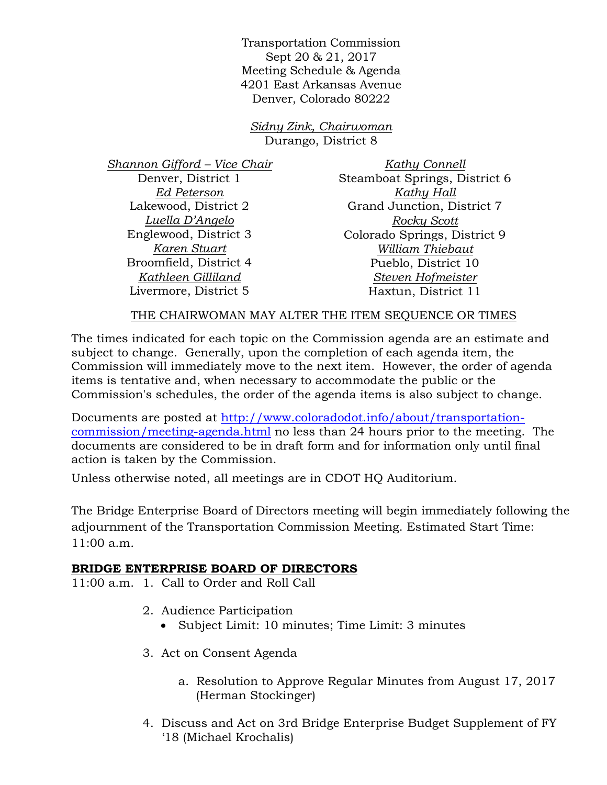Transportation Commission Sept 20 & 21, 2017 Meeting Schedule & Agenda 4201 East Arkansas Avenue Denver, Colorado 80222

*Sidny Zink, Chairwoman*  Durango, District 8

*Shannon Gifford – Vice Chair* Denver, District 1 *Ed Peterson* Lakewood, District 2 *Luella D'Angelo* Englewood, District 3 *Karen Stuart* Broomfield, District 4 *Kathleen Gilliland* Livermore, District 5

*Kathy Connell* Steamboat Springs, District 6 *Kathy Hall* Grand Junction, District 7 *Rocky Scott* Colorado Springs, District 9 *William Thiebaut* Pueblo, District 10 *Steven Hofmeister* Haxtun, District 11

## THE CHAIRWOMAN MAY ALTER THE ITEM SEOUENCE OR TIMES

The times indicated for each topic on the Commission agenda are an estimate and subject to change. Generally, upon the completion of each agenda item, the Commission will immediately move to the next item. However, the order of agenda items is tentative and, when necessary to accommodate the public or the Commission's schedules, the order of the agenda items is also subject to change.

Documents are posted at http://www.coloradodot.info/about/transportationcommission/meeting-agenda.html no less than 24 hours prior to the meeting. The documents are considered to be in draft form and for information only until final action is taken by the Commission.

Unless otherwise noted, all meetings are in CDOT HQ Auditorium.

The Bridge Enterprise Board of Directors meeting will begin immediately following the adjournment of the Transportation Commission Meeting. Estimated Start Time: 11:00 a.m.

## **BRIDGE ENTERPRISE BOARD OF DIRECTORS**

11:00 a.m. 1. Call to Order and Roll Call

- 2. Audience Participation
	- Subject Limit: 10 minutes; Time Limit: 3 minutes
- 3. Act on Consent Agenda
	- a. Resolution to Approve Regular Minutes from August 17, 2017 (Herman Stockinger)
- 4. Discuss and Act on 3rd Bridge Enterprise Budget Supplement of FY '18 (Michael Krochalis)